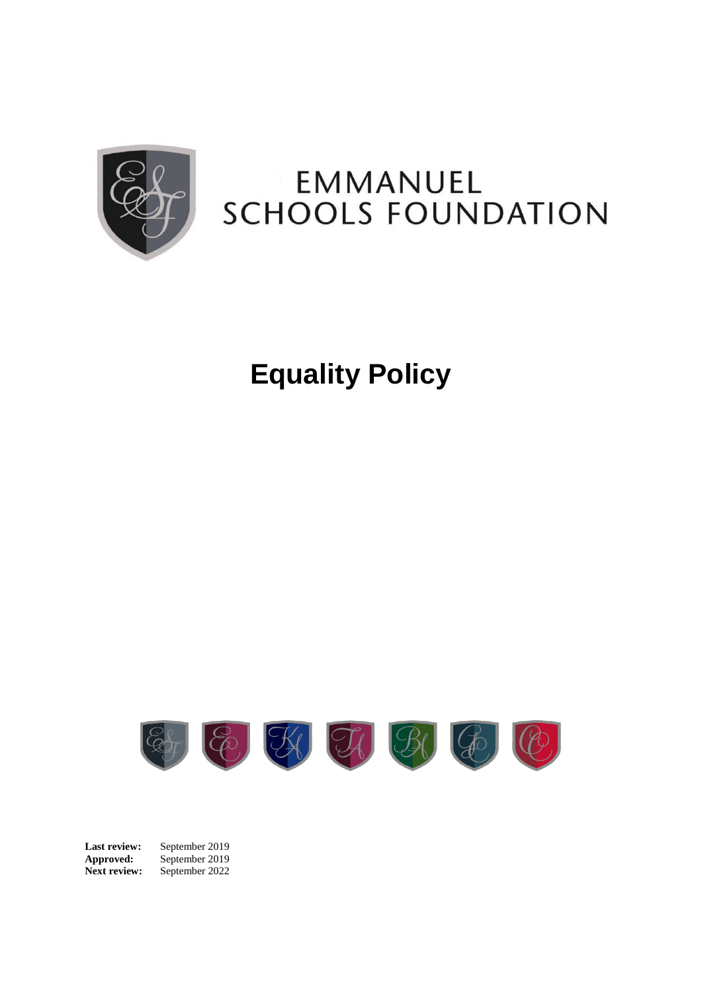

# EMMANUEL **SCHOOLS FOUNDATION**

# **Equality Policy**



Last review: September 2019 **Approved:** September 2019 **Next review:** September 2022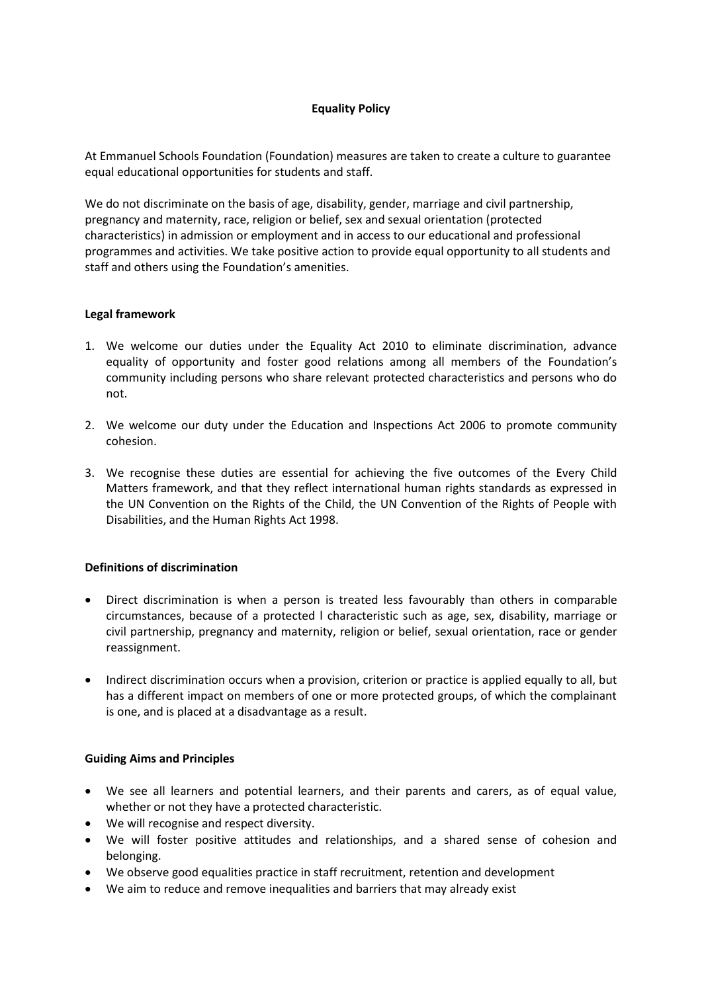# **Equality Policy**

At Emmanuel Schools Foundation (Foundation) measures are taken to create a culture to guarantee equal educational opportunities for students and staff.

We do not discriminate on the basis of age, disability, gender, marriage and civil partnership, pregnancy and maternity, race, religion or belief, sex and sexual orientation (protected characteristics) in admission or employment and in access to our educational and professional programmes and activities. We take positive action to provide equal opportunity to all students and staff and others using the Foundation's amenities.

#### **Legal framework**

- 1. We welcome our duties under the Equality Act 2010 to eliminate discrimination, advance equality of opportunity and foster good relations among all members of the Foundation's community including persons who share relevant protected characteristics and persons who do not.
- 2. We welcome our duty under the Education and Inspections Act 2006 to promote community cohesion.
- 3. We recognise these duties are essential for achieving the five outcomes of the Every Child Matters framework, and that they reflect international human rights standards as expressed in the UN Convention on the Rights of the Child, the UN Convention of the Rights of People with Disabilities, and the Human Rights Act 1998.

#### **Definitions of discrimination**

- Direct discrimination is when a person is treated less favourably than others in comparable circumstances, because of a protected l characteristic such as age, sex, disability, marriage or civil partnership, pregnancy and maternity, religion or belief, sexual orientation, race or gender reassignment.
- Indirect discrimination occurs when a provision, criterion or practice is applied equally to all, but has a different impact on members of one or more protected groups, of which the complainant is one, and is placed at a disadvantage as a result.

#### **Guiding Aims and Principles**

- We see all learners and potential learners, and their parents and carers, as of equal value, whether or not they have a protected characteristic.
- We will recognise and respect diversity.
- We will foster positive attitudes and relationships, and a shared sense of cohesion and belonging.
- We observe good equalities practice in staff recruitment, retention and development
- We aim to reduce and remove inequalities and barriers that may already exist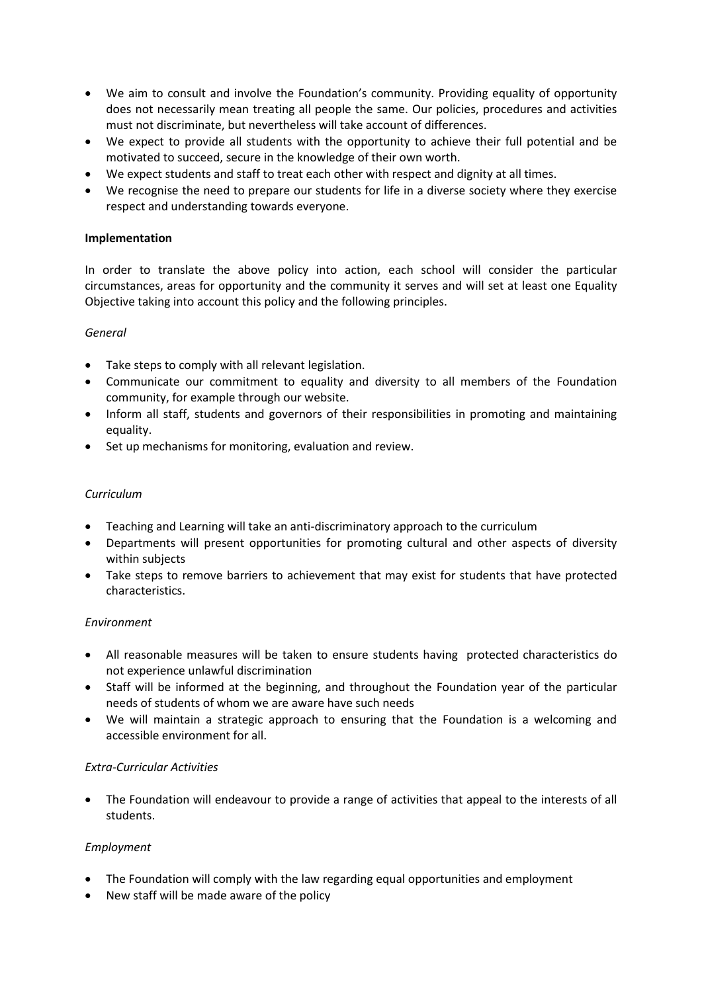- We aim to consult and involve the Foundation's community. Providing equality of opportunity does not necessarily mean treating all people the same. Our policies, procedures and activities must not discriminate, but nevertheless will take account of differences.
- We expect to provide all students with the opportunity to achieve their full potential and be motivated to succeed, secure in the knowledge of their own worth.
- We expect students and staff to treat each other with respect and dignity at all times.
- We recognise the need to prepare our students for life in a diverse society where they exercise respect and understanding towards everyone.

# **Implementation**

In order to translate the above policy into action, each school will consider the particular circumstances, areas for opportunity and the community it serves and will set at least one Equality Objective taking into account this policy and the following principles.

# *General*

- Take steps to comply with all relevant legislation.
- Communicate our commitment to equality and diversity to all members of the Foundation community, for example through our website.
- Inform all staff, students and governors of their responsibilities in promoting and maintaining equality.
- Set up mechanisms for monitoring, evaluation and review.

# *Curriculum*

- Teaching and Learning will take an anti-discriminatory approach to the curriculum
- Departments will present opportunities for promoting cultural and other aspects of diversity within subjects
- Take steps to remove barriers to achievement that may exist for students that have protected characteristics.

#### *Environment*

- All reasonable measures will be taken to ensure students having protected characteristics do not experience unlawful discrimination
- Staff will be informed at the beginning, and throughout the Foundation year of the particular needs of students of whom we are aware have such needs
- We will maintain a strategic approach to ensuring that the Foundation is a welcoming and accessible environment for all.

#### *Extra-Curricular Activities*

• The Foundation will endeavour to provide a range of activities that appeal to the interests of all students.

#### *Employment*

- The Foundation will comply with the law regarding equal opportunities and employment
- New staff will be made aware of the policy